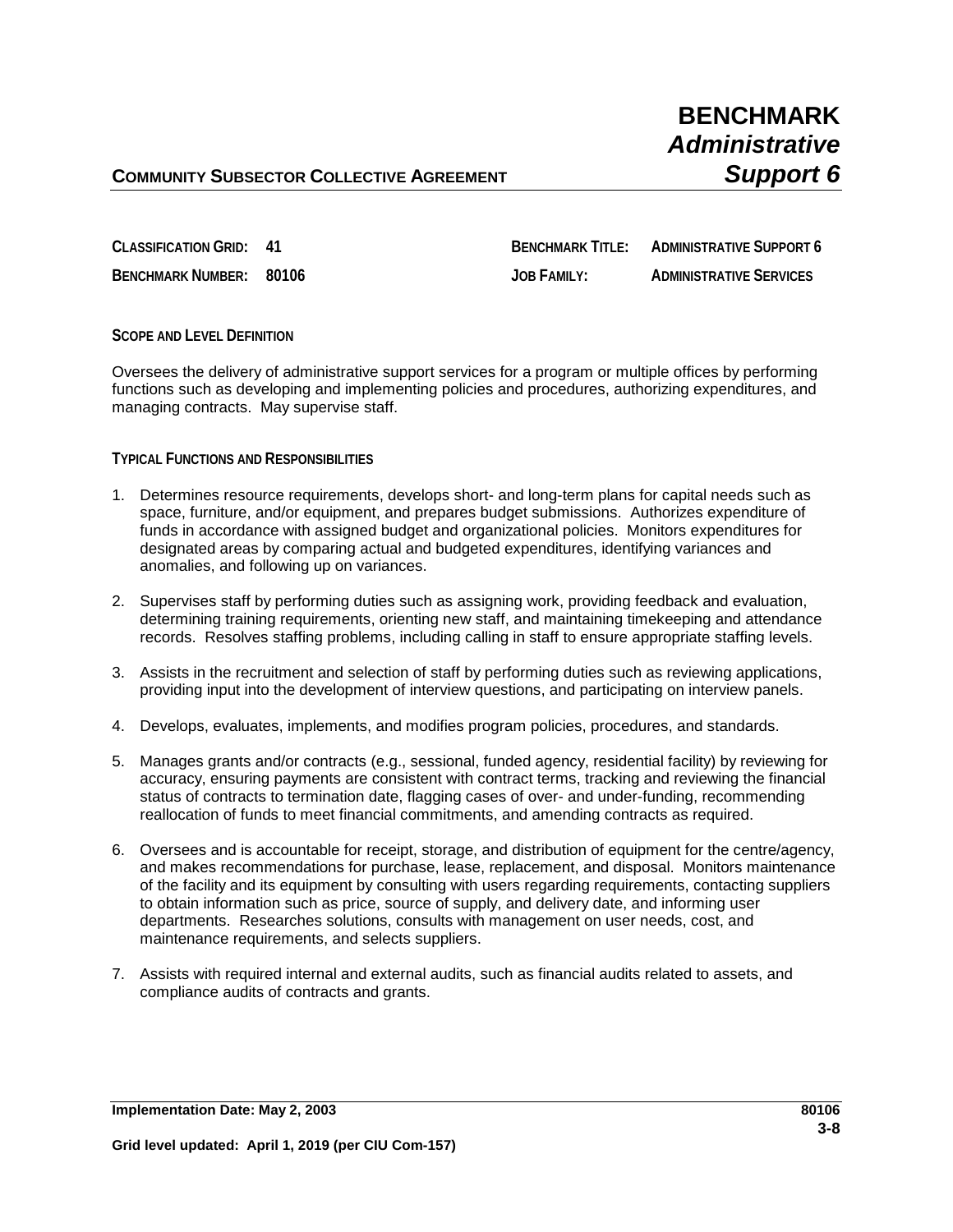**CLASSIFICATION GRID: 41 BENCHMARK TITLE: ADMINISTRATIVE SUPPORT 6**

**BENCHMARK NUMBER: 80106 JOB FAMILY: ADMINISTRATIVE SERVICES**

# **SCOPE AND LEVEL DEFINITION**

Oversees the delivery of administrative support services for a program or multiple offices by performing functions such as developing and implementing policies and procedures, authorizing expenditures, and managing contracts. May supervise staff.

## **TYPICAL FUNCTIONS AND RESPONSIBILITIES**

- 1. Determines resource requirements, develops short- and long-term plans for capital needs such as space, furniture, and/or equipment, and prepares budget submissions. Authorizes expenditure of funds in accordance with assigned budget and organizational policies. Monitors expenditures for designated areas by comparing actual and budgeted expenditures, identifying variances and anomalies, and following up on variances.
- 2. Supervises staff by performing duties such as assigning work, providing feedback and evaluation, determining training requirements, orienting new staff, and maintaining timekeeping and attendance records. Resolves staffing problems, including calling in staff to ensure appropriate staffing levels.
- 3. Assists in the recruitment and selection of staff by performing duties such as reviewing applications, providing input into the development of interview questions, and participating on interview panels.
- 4. Develops, evaluates, implements, and modifies program policies, procedures, and standards.
- 5. Manages grants and/or contracts (e.g., sessional, funded agency, residential facility) by reviewing for accuracy, ensuring payments are consistent with contract terms, tracking and reviewing the financial status of contracts to termination date, flagging cases of over- and under-funding, recommending reallocation of funds to meet financial commitments, and amending contracts as required.
- 6. Oversees and is accountable for receipt, storage, and distribution of equipment for the centre/agency, and makes recommendations for purchase, lease, replacement, and disposal. Monitors maintenance of the facility and its equipment by consulting with users regarding requirements, contacting suppliers to obtain information such as price, source of supply, and delivery date, and informing user departments. Researches solutions, consults with management on user needs, cost, and maintenance requirements, and selects suppliers.
- 7. Assists with required internal and external audits, such as financial audits related to assets, and compliance audits of contracts and grants.